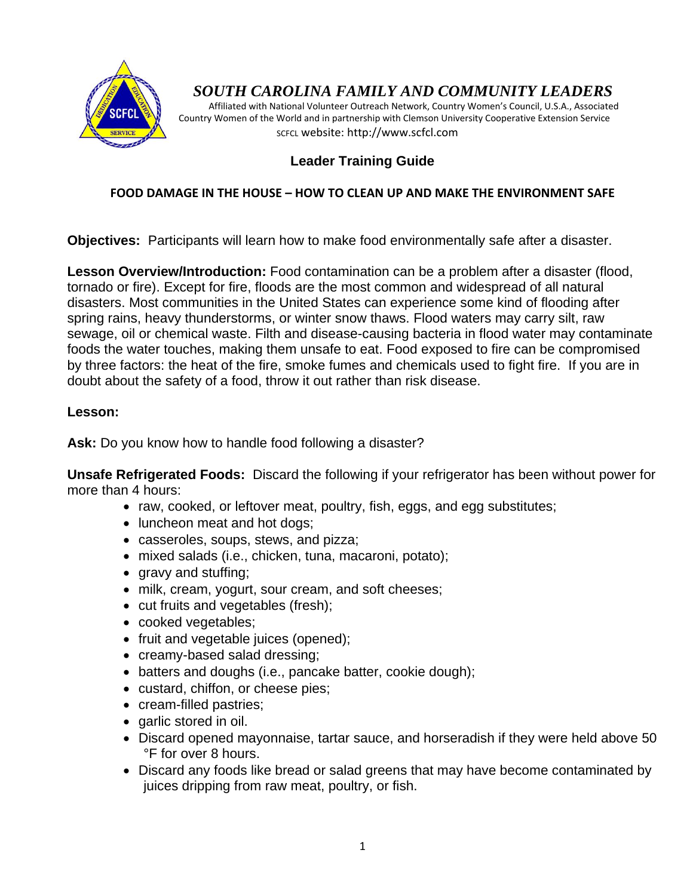

# *SOUTH CAROLINA FAMILY AND COMMUNITY LEADERS*

 Affiliated with National Volunteer Outreach Network, Country Women's Council, U.S.A., Associated Country Women of the World and in partnership with Clemson University Cooperative Extension Service SCFCL website: http://www.scfcl.com

## **Leader Training Guide**

#### **FOOD DAMAGE IN THE HOUSE – HOW TO CLEAN UP AND MAKE THE ENVIRONMENT SAFE**

**Objectives:** Participants will learn how to make food environmentally safe after a disaster.

**Lesson Overview/Introduction:** Food contamination can be a problem after a disaster (flood, tornado or fire). Except for fire, floods are the most common and widespread of all natural disasters. Most communities in the United States can experience some kind of flooding after spring rains, heavy thunderstorms, or winter snow thaws. Flood waters may carry silt, raw sewage, oil or chemical waste. Filth and disease-causing bacteria in flood water may contaminate foods the water touches, making them unsafe to eat. Food exposed to fire can be compromised by three factors: the heat of the fire, smoke fumes and chemicals used to fight fire. If you are in doubt about the safety of a food, throw it out rather than risk disease.

#### **Lesson:**

**Ask:** Do you know how to handle food following a disaster?

**Unsafe Refrigerated Foods:** Discard the following if your refrigerator has been without power for more than 4 hours:

- raw, cooked, or leftover meat, poultry, fish, eggs, and egg substitutes;
- luncheon meat and hot dogs;
- casseroles, soups, stews, and pizza;
- mixed salads (i.e., chicken, tuna, macaroni, potato);
- gravy and stuffing;
- milk, cream, yogurt, sour cream, and soft cheeses;
- cut fruits and vegetables (fresh);
- cooked vegetables;
- fruit and vegetable juices (opened);
- creamy-based salad dressing;
- batters and doughs (i.e., pancake batter, cookie dough);
- custard, chiffon, or cheese pies;
- cream-filled pastries;
- garlic stored in oil.
- Discard opened mayonnaise, tartar sauce, and horseradish if they were held above 50 °F for over 8 hours.
- Discard any foods like bread or salad greens that may have become contaminated by juices dripping from raw meat, poultry, or fish.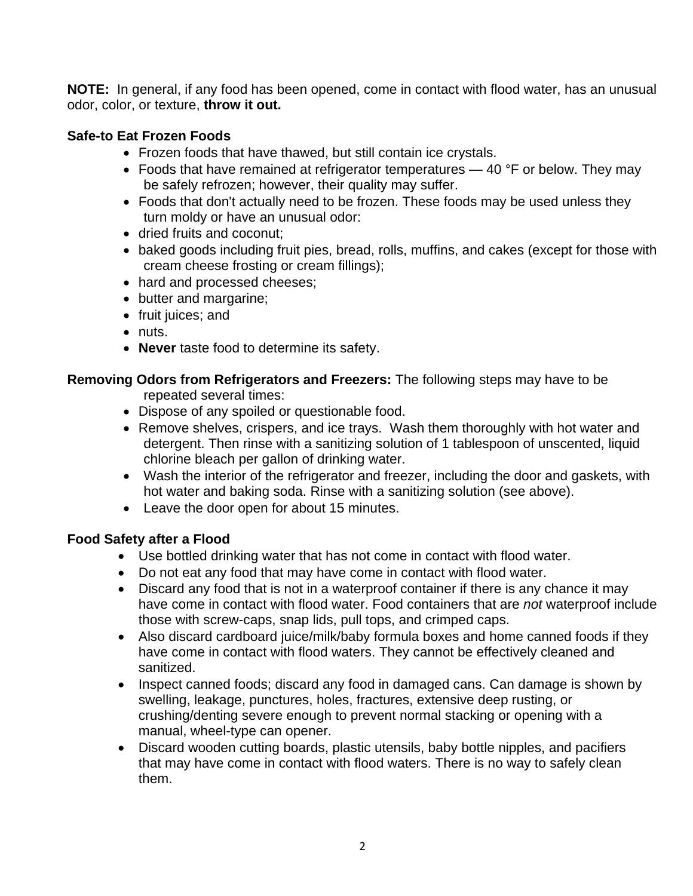**NOTE:** In general, if any food has been opened, come in contact with flood water, has an unusual odor, color, or texture, **throw it out.** 

### **Safe-to Eat Frozen Foods**

- Frozen foods that have thawed, but still contain ice crystals.
- Foods that have remained at refrigerator temperatures 40 °F or below. They may be safely refrozen; however, their quality may suffer.
- Foods that don't actually need to be frozen. These foods may be used unless they turn moldy or have an unusual odor:
- dried fruits and coconut;
- baked goods including fruit pies, bread, rolls, muffins, and cakes (except for those with cream cheese frosting or cream fillings);
- hard and processed cheeses;
- butter and margarine;
- fruit juices; and
- nuts.
- **Never** taste food to determine its safety.

#### **Removing Odors from Refrigerators and Freezers:** The following steps may have to be repeated several times:

- Dispose of any spoiled or questionable food.
- Remove shelves, crispers, and ice trays. Wash them thoroughly with hot water and detergent. Then rinse with a sanitizing solution of 1 tablespoon of unscented, liquid chlorine bleach per gallon of drinking water.
- Wash the interior of the refrigerator and freezer, including the door and gaskets, with hot water and baking soda. Rinse with a sanitizing solution (see above).
- Leave the door open for about 15 minutes.

### **Food Safety after a Flood**

- Use bottled drinking water that has not come in contact with flood water.
- Do not eat any food that may have come in contact with flood water.
- Discard any food that is not in a waterproof container if there is any chance it may have come in contact with flood water. Food containers that are *not* waterproof include those with screw-caps, snap lids, pull tops, and crimped caps.
- Also discard cardboard juice/milk/baby formula boxes and home canned foods if they have come in contact with flood waters. They cannot be effectively cleaned and sanitized.
- Inspect canned foods; discard any food in damaged cans. Can damage is shown by swelling, leakage, punctures, holes, fractures, extensive deep rusting, or crushing/denting severe enough to prevent normal stacking or opening with a manual, wheel-type can opener.
- Discard wooden cutting boards, plastic utensils, baby bottle nipples, and pacifiers that may have come in contact with flood waters. There is no way to safely clean them.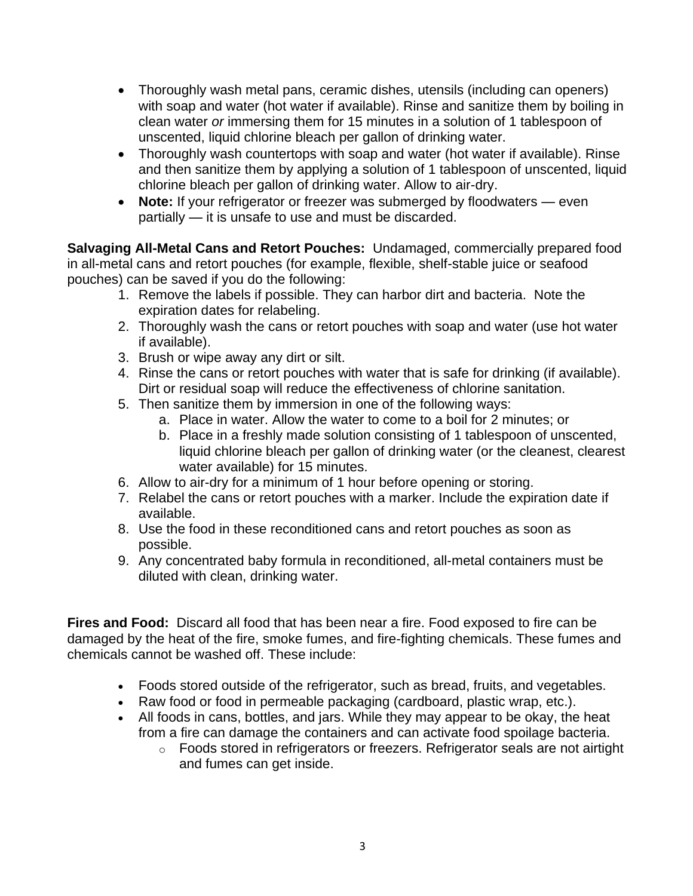- Thoroughly wash metal pans, ceramic dishes, utensils (including can openers) with soap and water (hot water if available). Rinse and sanitize them by boiling in clean water *or* immersing them for 15 minutes in a solution of 1 tablespoon of unscented, liquid chlorine bleach per gallon of drinking water.
- Thoroughly wash countertops with soap and water (hot water if available). Rinse and then sanitize them by applying a solution of 1 tablespoon of unscented, liquid chlorine bleach per gallon of drinking water. Allow to air-dry.
- **Note:** If your refrigerator or freezer was submerged by floodwaters even partially — it is unsafe to use and must be discarded.

**Salvaging All-Metal Cans and Retort Pouches:** Undamaged, commercially prepared food in all-metal cans and retort pouches (for example, flexible, shelf-stable juice or seafood pouches) can be saved if you do the following:

- 1. Remove the labels if possible. They can harbor dirt and bacteria. Note the expiration dates for relabeling.
- 2. Thoroughly wash the cans or retort pouches with soap and water (use hot water if available).
- 3. Brush or wipe away any dirt or silt.
- 4. Rinse the cans or retort pouches with water that is safe for drinking (if available). Dirt or residual soap will reduce the effectiveness of chlorine sanitation.
- 5. Then sanitize them by immersion in one of the following ways:
	- a. Place in water. Allow the water to come to a boil for 2 minutes; or
	- b. Place in a freshly made solution consisting of 1 tablespoon of unscented, liquid chlorine bleach per gallon of drinking water (or the cleanest, clearest water available) for 15 minutes.
- 6. Allow to air-dry for a minimum of 1 hour before opening or storing.
- 7. Relabel the cans or retort pouches with a marker. Include the expiration date if available.
- 8. Use the food in these reconditioned cans and retort pouches as soon as possible.
- 9. Any concentrated baby formula in reconditioned, all-metal containers must be diluted with clean, drinking water.

**Fires and Food:** Discard all food that has been near a fire. Food exposed to fire can be damaged by the heat of the fire, smoke fumes, and fire-fighting chemicals. These fumes and chemicals cannot be washed off. These include:

- Foods stored outside of the refrigerator, such as bread, fruits, and vegetables.
- Raw food or food in permeable packaging (cardboard, plastic wrap, etc.).
- All foods in cans, bottles, and jars. While they may appear to be okay, the heat from a fire can damage the containers and can activate food spoilage bacteria.
	- o Foods stored in refrigerators or freezers. Refrigerator seals are not airtight and fumes can get inside.